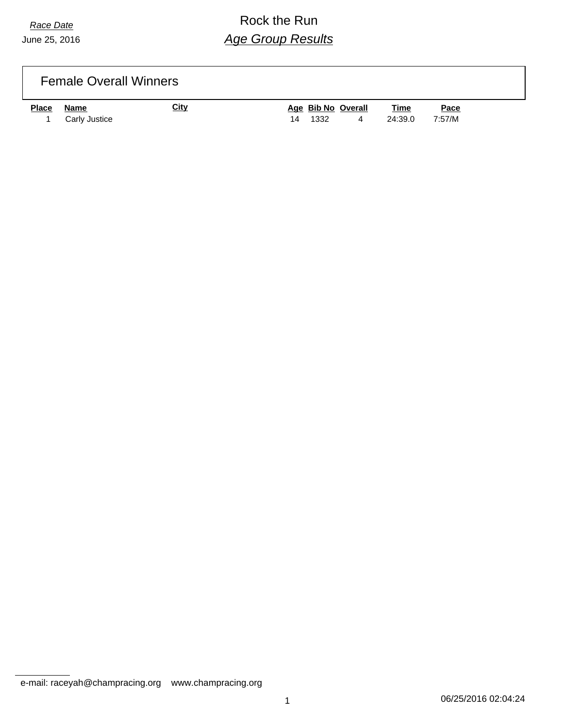## *Race Date* Rock the Run *Age Group Results*

| <b>Female Overall Winners</b> |  |
|-------------------------------|--|
|-------------------------------|--|

| <b>Place</b> | Name          | City |         | Age Bib No Overall | <u>Time</u> | Pace   |
|--------------|---------------|------|---------|--------------------|-------------|--------|
|              | Carly Justice |      | 14 1332 | 4                  | 24:39.0     | 7:57/M |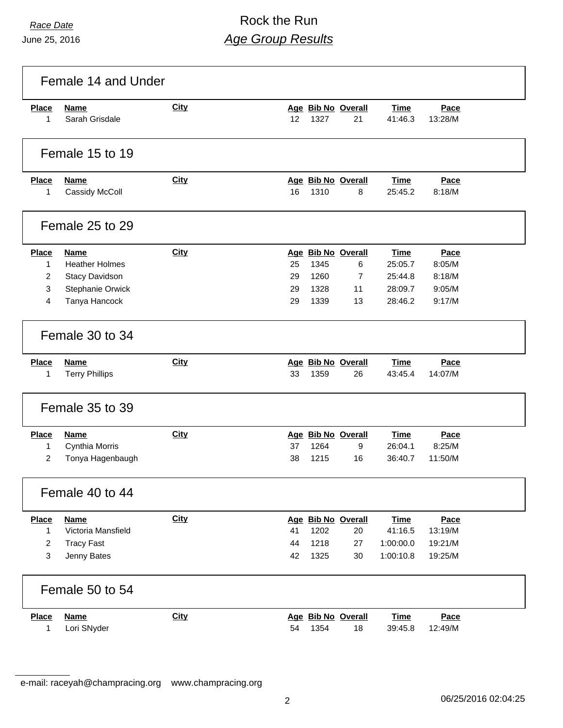# *Race Date* Rock the Run *Age Group Results*

|                                                     | Female 14 and Under                                                                                |             |                      |                              |                                                       |                                                         |                                              |  |
|-----------------------------------------------------|----------------------------------------------------------------------------------------------------|-------------|----------------------|------------------------------|-------------------------------------------------------|---------------------------------------------------------|----------------------------------------------|--|
| <b>Place</b><br>1                                   | <b>Name</b><br>Sarah Grisdale                                                                      | City        | 12                   | 1327                         | Age Bib No Overall<br>21                              | <b>Time</b><br>41:46.3                                  | Pace<br>13:28/M                              |  |
|                                                     | Female 15 to 19                                                                                    |             |                      |                              |                                                       |                                                         |                                              |  |
| <b>Place</b><br>1                                   | <b>Name</b><br>Cassidy McColl                                                                      | <b>City</b> | 16                   | 1310                         | Age Bib No Overall<br>8                               | <b>Time</b><br>25:45.2                                  | Pace<br>8:18/M                               |  |
|                                                     | Female 25 to 29                                                                                    |             |                      |                              |                                                       |                                                         |                                              |  |
| <b>Place</b><br>1<br>2<br>3<br>4                    | <b>Name</b><br><b>Heather Holmes</b><br><b>Stacy Davidson</b><br>Stephanie Orwick<br>Tanya Hancock | City        | 25<br>29<br>29<br>29 | 1345<br>1260<br>1328<br>1339 | Age Bib No Overall<br>6<br>$\overline{7}$<br>11<br>13 | <b>Time</b><br>25:05.7<br>25:44.8<br>28:09.7<br>28:46.2 | Pace<br>8:05/M<br>8:18/M<br>9:05/M<br>9:17/M |  |
|                                                     | Female 30 to 34                                                                                    |             |                      |                              |                                                       |                                                         |                                              |  |
| <b>Place</b><br>1                                   | <b>Name</b><br><b>Terry Phillips</b>                                                               | <b>City</b> | 33                   | 1359                         | Age Bib No Overall<br>26                              | <b>Time</b><br>43:45.4                                  | Pace<br>14:07/M                              |  |
|                                                     | Female 35 to 39                                                                                    |             |                      |                              |                                                       |                                                         |                                              |  |
| <b>Place</b><br>1<br>$\overline{2}$                 | <b>Name</b><br>Cynthia Morris<br>Tonya Hagenbaugh                                                  | <b>City</b> | 37<br>38             | 1264<br>1215                 | Age Bib No Overall<br>9<br>16                         | <b>Time</b><br>26:04.1<br>36:40.7                       | Pace<br>8:25/M<br>11:50/M                    |  |
|                                                     | Female 40 to 44                                                                                    |             |                      |                              |                                                       |                                                         |                                              |  |
| <b>Place</b><br>$\mathbf{1}$<br>$\overline{c}$<br>3 | <b>Name</b><br>Victoria Mansfield<br><b>Tracy Fast</b><br>Jenny Bates                              | City        | 41<br>44<br>42       | 1202<br>1218<br>1325         | Age Bib No Overall<br>20<br>27<br>30                  | <b>Time</b><br>41:16.5<br>1:00:00.0<br>1:00:10.8        | Pace<br>13:19/M<br>19:21/M<br>19:25/M        |  |
|                                                     | Female 50 to 54                                                                                    |             |                      |                              |                                                       |                                                         |                                              |  |
| <b>Place</b><br>1                                   | <b>Name</b><br>Lori SNyder                                                                         | <b>City</b> | 54                   | 1354                         | Age Bib No Overall<br>18                              | <b>Time</b><br>39:45.8                                  | Pace<br>12:49/M                              |  |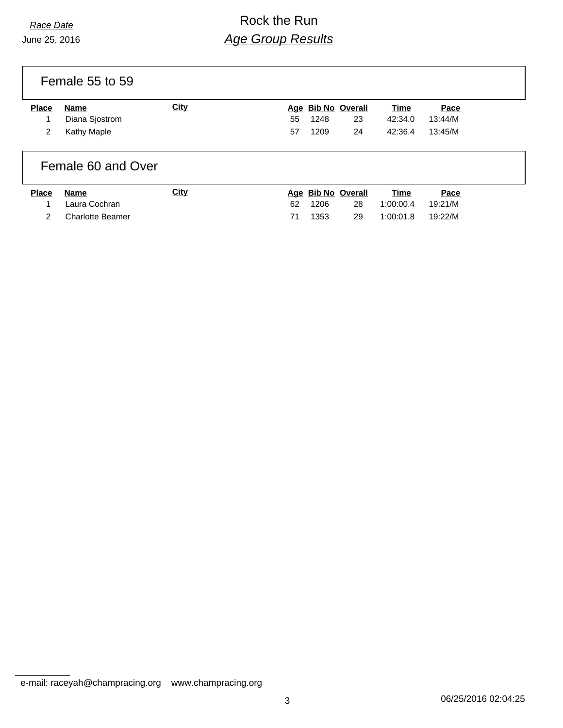## *Race Date* Rock the Run *Age Group Results*

Female 55 to 59

| <b>Place</b> | Name           | City |    | Age Bib No Overall |    | Time            | Pace    |
|--------------|----------------|------|----|--------------------|----|-----------------|---------|
|              | Diana Siostrom |      | 55 | 1248               | 23 | 42:34.0         | 13:44/M |
|              | Kathy Maple    |      | 57 | 1209               | 24 | 42:36.4 13:45/M |         |

#### Female 60 and Over

| <b>Place</b> | Name                    | <u>City</u> |    | Age Bib No Overall |    | Time      | Pace    |
|--------------|-------------------------|-------------|----|--------------------|----|-----------|---------|
|              | Laura Cochran           |             | 62 | 1206               | 28 | 1:00:00.4 | 19:21/M |
|              | <b>Charlotte Beamer</b> |             | 71 | 1353               | 29 | 1:00:01.8 | 19:22/M |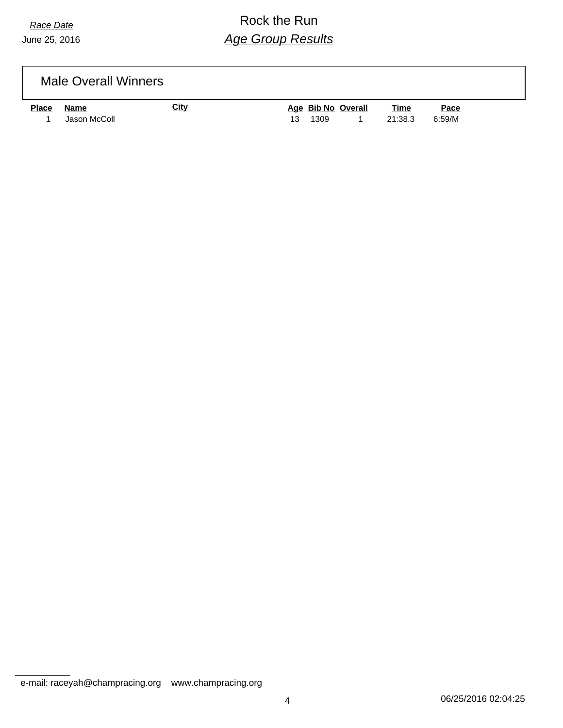## *Race Date* Rock the Run *Age Group Results*

|              | <b>Male Overall Winners</b> |             |                    |      |      |
|--------------|-----------------------------|-------------|--------------------|------|------|
| <u>Place</u> | Name                        | <u>City</u> | Age Bib No Overall | Time | Pace |

1 Jason McColl 13 1309 1 21:38.3 6:59/M

e-mail: raceyah@champracing.org www.champracing.org

4 06/25/2016 02:04:25